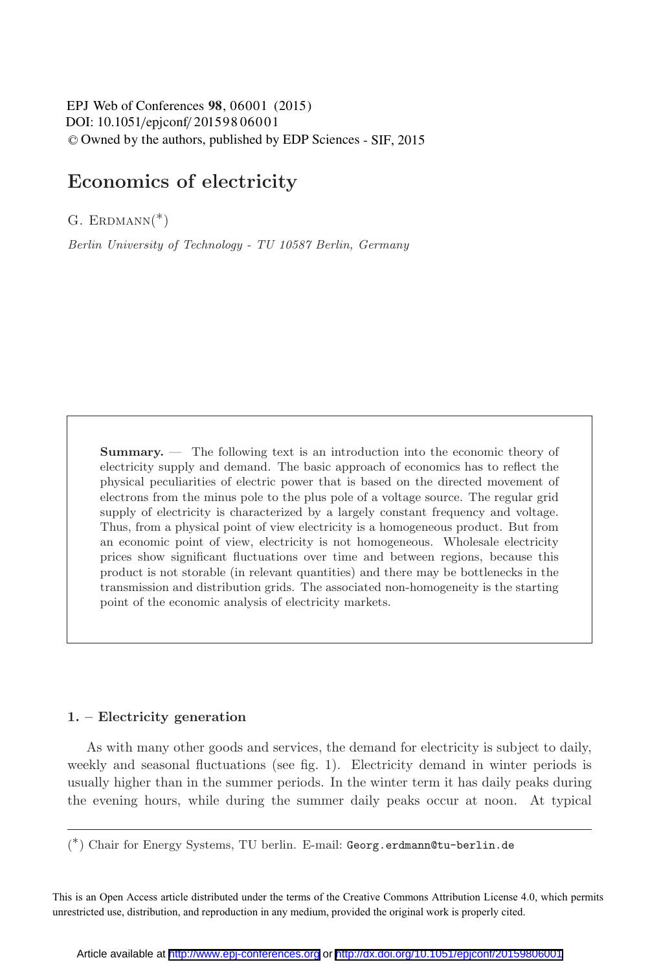DOI: 10.1051/epjconf/ 201598 060 01 EPJ Web of Conferences 98, 06001 (2015) -<sup>C</sup> Owned by the authors, published by EDP Sciences - SIF, 2015

# **Economics of electricity**

G. ERDMANN $(*)$ 

Berlin University of Technology - TU 10587 Berlin, Germany

**Summary.** — The following text is an introduction into the economic theory of electricity supply and demand. The basic approach of economics has to reflect the physical peculiarities of electric power that is based on the directed movement of electrons from the minus pole to the plus pole of a voltage source. The regular grid supply of electricity is characterized by a largely constant frequency and voltage. Thus, from a physical point of view electricity is a homogeneous product. But from an economic point of view, electricity is not homogeneous. Wholesale electricity prices show significant fluctuations over time and between regions, because this product is not storable (in relevant quantities) and there may be bottlenecks in the transmission and distribution grids. The associated non-homogeneity is the starting point of the economic analysis of electricity markets.

#### **1. – Electricity generation**

As with many other goods and services, the demand for electricity is subject to daily, weekly and seasonal fluctuations (see fig. 1). Electricity demand in winter periods is usually higher than in the summer periods. In the winter term it has daily peaks during the evening hours, while during the summer daily peaks occur at noon. At typical

( ∗) Chair for Energy Systems, TU berlin. E-mail: Georg.erdmann@tu-berlin.de

This is an Open Access article distributed under the terms of the Creative Commons Attribution License 4.0, which permits unrestricted use, distribution, and reproduction in any medium, provided the original work is properly cited.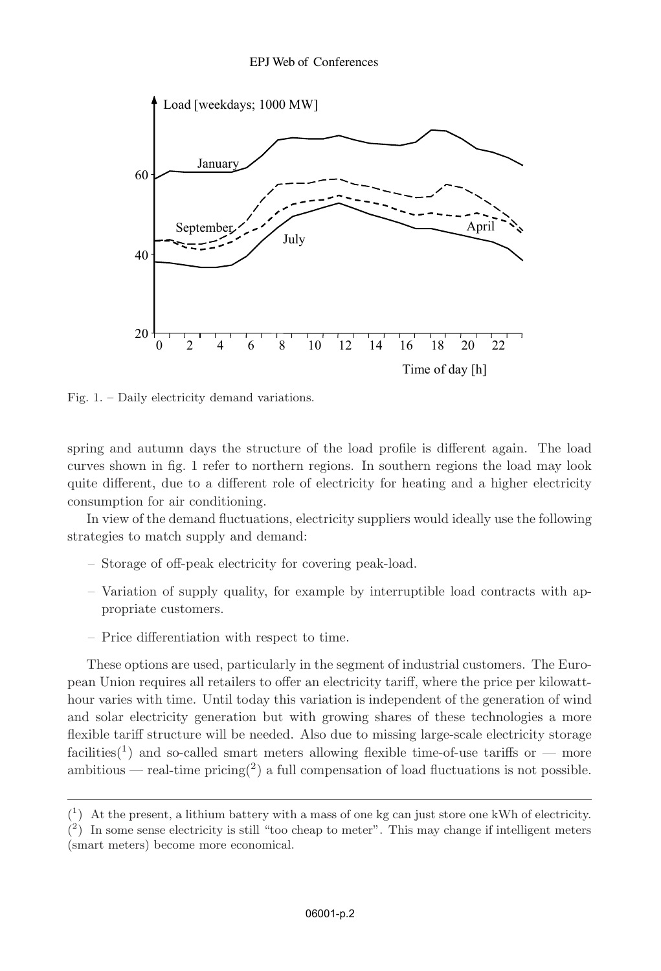

Fig. 1. – Daily electricity demand variations.

spring and autumn days the structure of the load profile is different again. The load curves shown in fig. 1 refer to northern regions. In southern regions the load may look quite different, due to a different role of electricity for heating and a higher electricity consumption for air conditioning.

In view of the demand fluctuations, electricity suppliers would ideally use the following strategies to match supply and demand:

- Storage of off-peak electricity for covering peak-load.
- Variation of supply quality, for example by interruptible load contracts with appropriate customers.
- Price differentiation with respect to time.

These options are used, particularly in the segment of industrial customers. The European Union requires all retailers to offer an electricity tariff, where the price per kilowatthour varies with time. Until today this variation is independent of the generation of wind and solar electricity generation but with growing shares of these technologies a more flexible tariff structure will be needed. Also due to missing large-scale electricity storage facilities<sup>(1</sup>) and so-called smart meters allowing flexible time-of-use tariffs or — more ambitious — real-time pricing<sup>(2)</sup> a full compensation of load fluctuations is not possible.

 $\binom{1}{1}$  At the present, a lithium battery with a mass of one kg can just store one kWh of electricity.

 $(2)$  In some sense electricity is still "too cheap to meter". This may change if intelligent meters (smart meters) become more economical.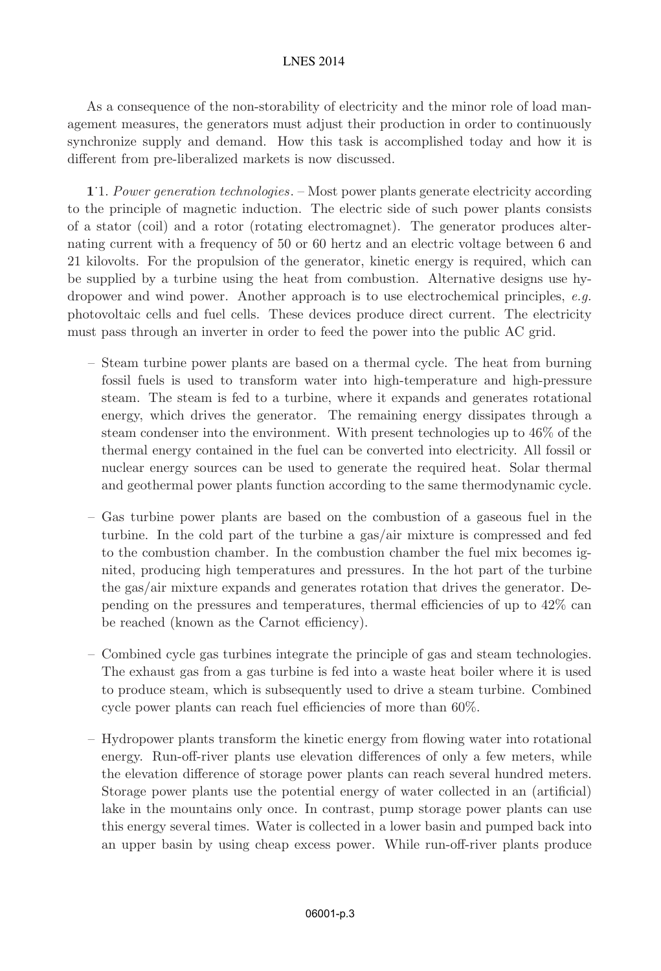As a consequence of the non-storability of electricity and the minor role of load management measures, the generators must adjust their production in order to continuously synchronize supply and demand. How this task is accomplished today and how it is different from pre-liberalized markets is now discussed.

**1**. 1. Power generation technologies. – Most power plants generate electricity according to the principle of magnetic induction. The electric side of such power plants consists of a stator (coil) and a rotor (rotating electromagnet). The generator produces alternating current with a frequency of 50 or 60 hertz and an electric voltage between 6 and 21 kilovolts. For the propulsion of the generator, kinetic energy is required, which can be supplied by a turbine using the heat from combustion. Alternative designs use hydropower and wind power. Another approach is to use electrochemical principles, e.g. photovoltaic cells and fuel cells. These devices produce direct current. The electricity must pass through an inverter in order to feed the power into the public AC grid.

- Steam turbine power plants are based on a thermal cycle. The heat from burning fossil fuels is used to transform water into high-temperature and high-pressure steam. The steam is fed to a turbine, where it expands and generates rotational energy, which drives the generator. The remaining energy dissipates through a steam condenser into the environment. With present technologies up to 46% of the thermal energy contained in the fuel can be converted into electricity. All fossil or nuclear energy sources can be used to generate the required heat. Solar thermal and geothermal power plants function according to the same thermodynamic cycle.
- Gas turbine power plants are based on the combustion of a gaseous fuel in the turbine. In the cold part of the turbine a gas/air mixture is compressed and fed to the combustion chamber. In the combustion chamber the fuel mix becomes ignited, producing high temperatures and pressures. In the hot part of the turbine the gas/air mixture expands and generates rotation that drives the generator. Depending on the pressures and temperatures, thermal efficiencies of up to 42% can be reached (known as the Carnot efficiency).
- Combined cycle gas turbines integrate the principle of gas and steam technologies. The exhaust gas from a gas turbine is fed into a waste heat boiler where it is used to produce steam, which is subsequently used to drive a steam turbine. Combined cycle power plants can reach fuel efficiencies of more than 60%.
- Hydropower plants transform the kinetic energy from flowing water into rotational energy. Run-off-river plants use elevation differences of only a few meters, while the elevation difference of storage power plants can reach several hundred meters. Storage power plants use the potential energy of water collected in an (artificial) lake in the mountains only once. In contrast, pump storage power plants can use this energy several times. Water is collected in a lower basin and pumped back into an upper basin by using cheap excess power. While run-off-river plants produce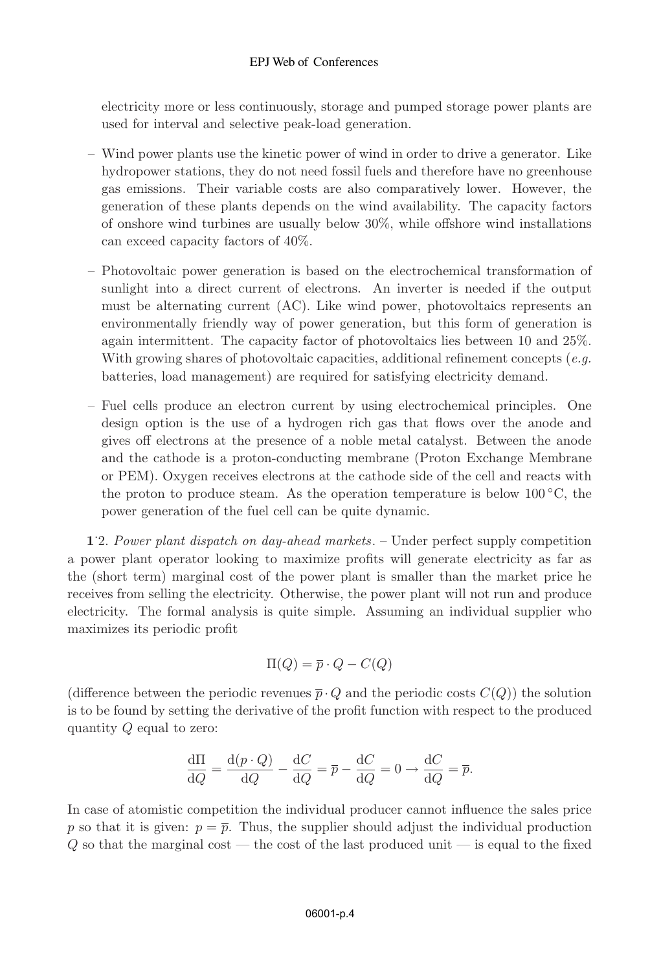## EPJ Web of Conferences

electricity more or less continuously, storage and pumped storage power plants are used for interval and selective peak-load generation.

- Wind power plants use the kinetic power of wind in order to drive a generator. Like hydropower stations, they do not need fossil fuels and therefore have no greenhouse gas emissions. Their variable costs are also comparatively lower. However, the generation of these plants depends on the wind availability. The capacity factors of onshore wind turbines are usually below 30%, while offshore wind installations can exceed capacity factors of 40%.
- Photovoltaic power generation is based on the electrochemical transformation of sunlight into a direct current of electrons. An inverter is needed if the output must be alternating current (AC). Like wind power, photovoltaics represents an environmentally friendly way of power generation, but this form of generation is again intermittent. The capacity factor of photovoltaics lies between 10 and 25%. With growing shares of photovoltaic capacities, additional refinement concepts (e.g. batteries, load management) are required for satisfying electricity demand.
- Fuel cells produce an electron current by using electrochemical principles. One design option is the use of a hydrogen rich gas that flows over the anode and gives off electrons at the presence of a noble metal catalyst. Between the anode and the cathode is a proton-conducting membrane (Proton Exchange Membrane or PEM). Oxygen receives electrons at the cathode side of the cell and reacts with the proton to produce steam. As the operation temperature is below  $100\degree\text{C}$ , the power generation of the fuel cell can be quite dynamic.

**1**. 2. Power plant dispatch on day-ahead markets. – Under perfect supply competition a power plant operator looking to maximize profits will generate electricity as far as the (short term) marginal cost of the power plant is smaller than the market price he receives from selling the electricity. Otherwise, the power plant will not run and produce electricity. The formal analysis is quite simple. Assuming an individual supplier who maximizes its periodic profit

$$
\Pi(Q) = \overline{p} \cdot Q - C(Q)
$$

(difference between the periodic revenues  $\bar{p} \cdot Q$  and the periodic costs  $C(Q)$ ) the solution is to be found by setting the derivative of the profit function with respect to the produced quantity Q equal to zero:

$$
\frac{\mathrm{d}\Pi}{\mathrm{d}Q} = \frac{\mathrm{d}(p \cdot Q)}{\mathrm{d}Q} - \frac{\mathrm{d}C}{\mathrm{d}Q} = \overline{p} - \frac{\mathrm{d}C}{\mathrm{d}Q} = 0 \rightarrow \frac{\mathrm{d}C}{\mathrm{d}Q} = \overline{p}.
$$

In case of atomistic competition the individual producer cannot influence the sales price p so that it is given:  $p = \overline{p}$ . Thus, the supplier should adjust the individual production  $Q$  so that the marginal cost — the cost of the last produced unit — is equal to the fixed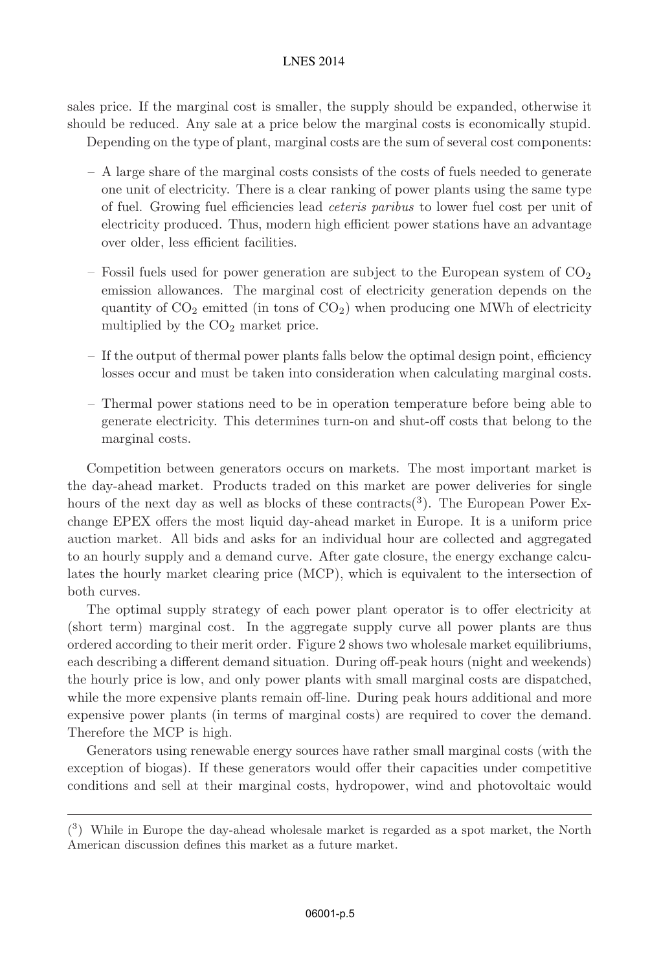sales price. If the marginal cost is smaller, the supply should be expanded, otherwise it should be reduced. Any sale at a price below the marginal costs is economically stupid.

Depending on the type of plant, marginal costs are the sum of several cost components:

- A large share of the marginal costs consists of the costs of fuels needed to generate one unit of electricity. There is a clear ranking of power plants using the same type of fuel. Growing fuel efficiencies lead ceteris paribus to lower fuel cost per unit of electricity produced. Thus, modern high efficient power stations have an advantage over older, less efficient facilities.
- Fossil fuels used for power generation are subject to the European system of  $CO<sub>2</sub>$ emission allowances. The marginal cost of electricity generation depends on the quantity of  $CO<sub>2</sub>$  emitted (in tons of  $CO<sub>2</sub>$ ) when producing one MWh of electricity multiplied by the  $CO<sub>2</sub>$  market price.
- If the output of thermal power plants falls below the optimal design point, efficiency losses occur and must be taken into consideration when calculating marginal costs.
- Thermal power stations need to be in operation temperature before being able to generate electricity. This determines turn-on and shut-off costs that belong to the marginal costs.

Competition between generators occurs on markets. The most important market is the day-ahead market. Products traded on this market are power deliveries for single hours of the next day as well as blocks of these contracts<sup>(3)</sup>. The European Power Exchange EPEX offers the most liquid day-ahead market in Europe. It is a uniform price auction market. All bids and asks for an individual hour are collected and aggregated to an hourly supply and a demand curve. After gate closure, the energy exchange calculates the hourly market clearing price (MCP), which is equivalent to the intersection of both curves.

The optimal supply strategy of each power plant operator is to offer electricity at (short term) marginal cost. In the aggregate supply curve all power plants are thus ordered according to their merit order. Figure 2 shows two wholesale market equilibriums, each describing a different demand situation. During off-peak hours (night and weekends) the hourly price is low, and only power plants with small marginal costs are dispatched, while the more expensive plants remain off-line. During peak hours additional and more expensive power plants (in terms of marginal costs) are required to cover the demand. Therefore the MCP is high.

Generators using renewable energy sources have rather small marginal costs (with the exception of biogas). If these generators would offer their capacities under competitive conditions and sell at their marginal costs, hydropower, wind and photovoltaic would

<sup>(</sup> <sup>3</sup>) While in Europe the day-ahead wholesale market is regarded as a spot market, the North American discussion defines this market as a future market.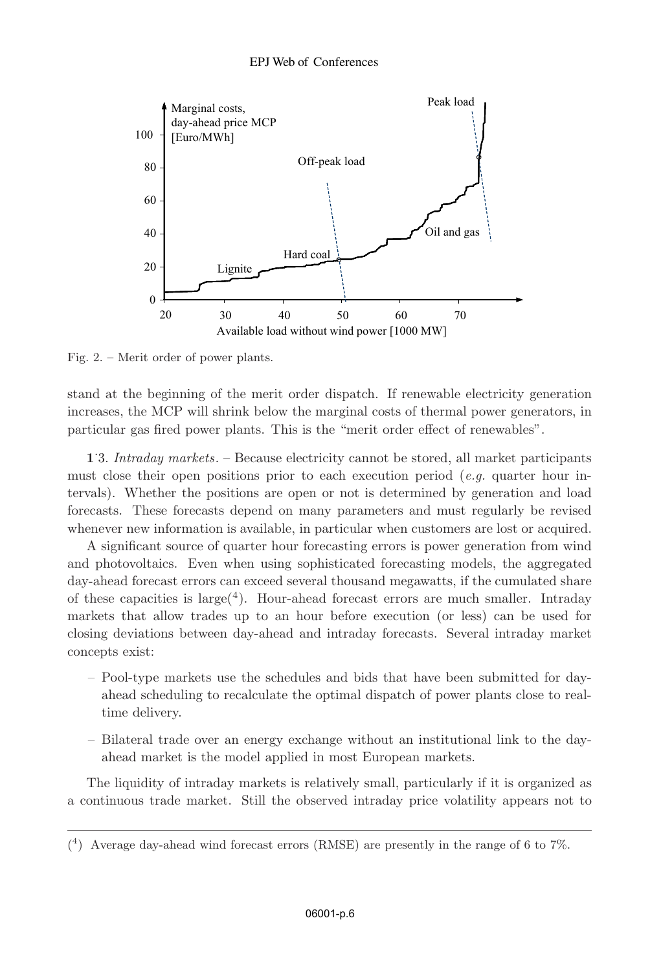

Fig. 2. – Merit order of power plants.

stand at the beginning of the merit order dispatch. If renewable electricity generation increases, the MCP will shrink below the marginal costs of thermal power generators, in particular gas fired power plants. This is the "merit order effect of renewables".

**1**. 3. Intraday markets. – Because electricity cannot be stored, all market participants must close their open positions prior to each execution period (e.g. quarter hour intervals). Whether the positions are open or not is determined by generation and load forecasts. These forecasts depend on many parameters and must regularly be revised whenever new information is available, in particular when customers are lost or acquired.

A significant source of quarter hour forecasting errors is power generation from wind and photovoltaics. Even when using sophisticated forecasting models, the aggregated day-ahead forecast errors can exceed several thousand megawatts, if the cumulated share of these capacities is  $\text{large}(4)$ . Hour-ahead forecast errors are much smaller. Intraday markets that allow trades up to an hour before execution (or less) can be used for closing deviations between day-ahead and intraday forecasts. Several intraday market concepts exist:

- Pool-type markets use the schedules and bids that have been submitted for dayahead scheduling to recalculate the optimal dispatch of power plants close to realtime delivery.
- Bilateral trade over an energy exchange without an institutional link to the dayahead market is the model applied in most European markets.

The liquidity of intraday markets is relatively small, particularly if it is organized as a continuous trade market. Still the observed intraday price volatility appears not to

<sup>(</sup> <sup>4</sup>) Average day-ahead wind forecast errors (RMSE) are presently in the range of 6 to 7%.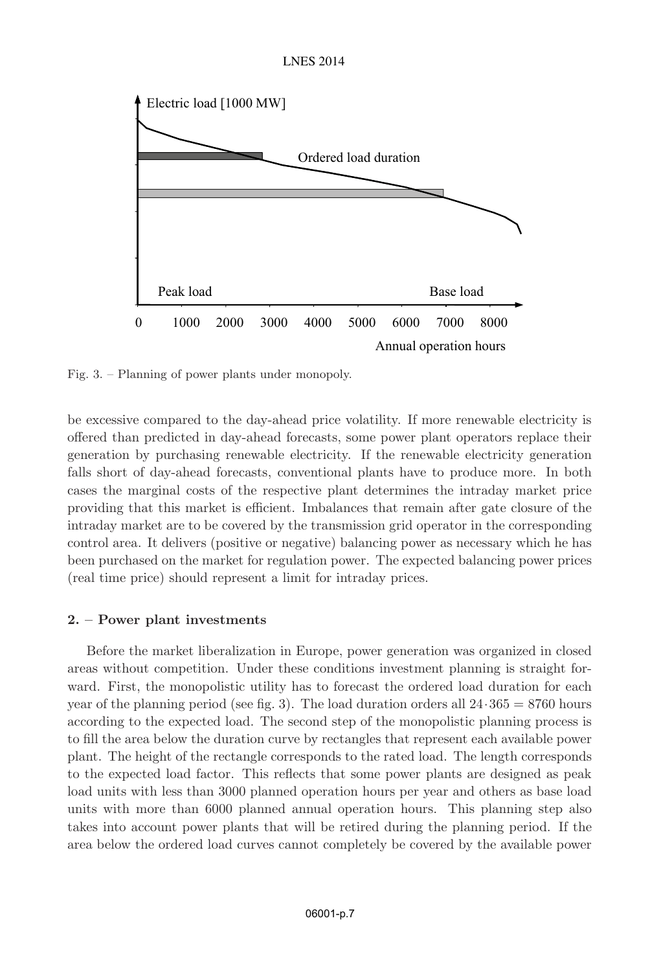

Fig. 3. – Planning of power plants under monopoly.

be excessive compared to the day-ahead price volatility. If more renewable electricity is offered than predicted in day-ahead forecasts, some power plant operators replace their generation by purchasing renewable electricity. If the renewable electricity generation falls short of day-ahead forecasts, conventional plants have to produce more. In both cases the marginal costs of the respective plant determines the intraday market price providing that this market is efficient. Imbalances that remain after gate closure of the intraday market are to be covered by the transmission grid operator in the corresponding control area. It delivers (positive or negative) balancing power as necessary which he has been purchased on the market for regulation power. The expected balancing power prices (real time price) should represent a limit for intraday prices.

# **2. – Power plant investments**

Before the market liberalization in Europe, power generation was organized in closed areas without competition. Under these conditions investment planning is straight forward. First, the monopolistic utility has to forecast the ordered load duration for each year of the planning period (see fig. 3). The load duration orders all  $24.365 = 8760$  hours according to the expected load. The second step of the monopolistic planning process is to fill the area below the duration curve by rectangles that represent each available power plant. The height of the rectangle corresponds to the rated load. The length corresponds to the expected load factor. This reflects that some power plants are designed as peak load units with less than 3000 planned operation hours per year and others as base load units with more than 6000 planned annual operation hours. This planning step also takes into account power plants that will be retired during the planning period. If the area below the ordered load curves cannot completely be covered by the available power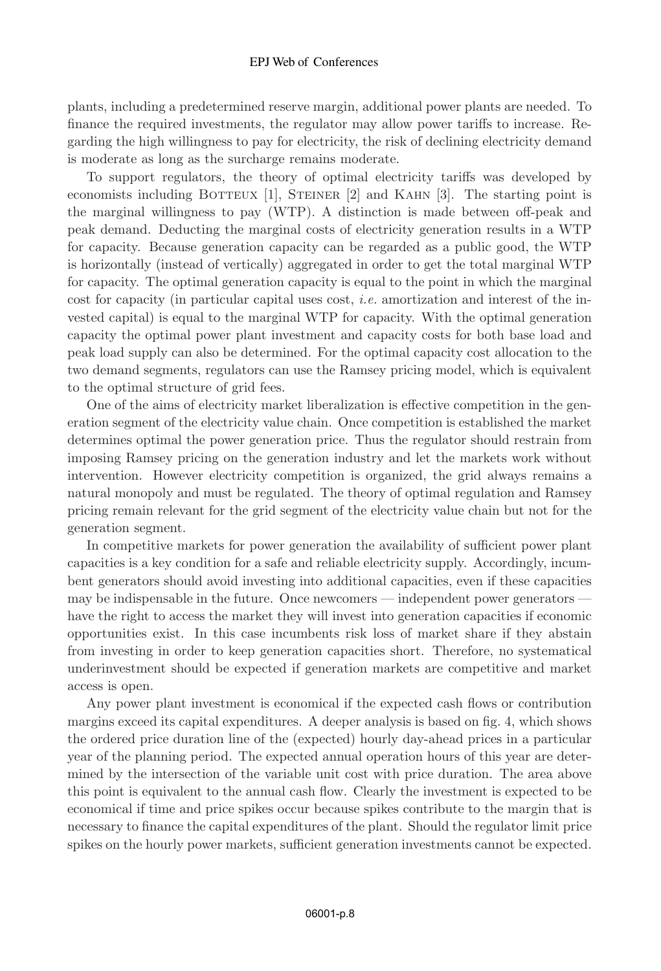#### EPJ Web of Conferences

plants, including a predetermined reserve margin, additional power plants are needed. To finance the required investments, the regulator may allow power tariffs to increase. Regarding the high willingness to pay for electricity, the risk of declining electricity demand is moderate as long as the surcharge remains moderate.

To support regulators, the theory of optimal electricity tariffs was developed by economists including BOTTEUX  $[1]$ , STEINER  $[2]$  and KAHN  $[3]$ . The starting point is the marginal willingness to pay (WTP). A distinction is made between off-peak and peak demand. Deducting the marginal costs of electricity generation results in a WTP for capacity. Because generation capacity can be regarded as a public good, the WTP is horizontally (instead of vertically) aggregated in order to get the total marginal WTP for capacity. The optimal generation capacity is equal to the point in which the marginal cost for capacity (in particular capital uses cost, *i.e.* amortization and interest of the invested capital) is equal to the marginal WTP for capacity. With the optimal generation capacity the optimal power plant investment and capacity costs for both base load and peak load supply can also be determined. For the optimal capacity cost allocation to the two demand segments, regulators can use the Ramsey pricing model, which is equivalent to the optimal structure of grid fees.

One of the aims of electricity market liberalization is effective competition in the generation segment of the electricity value chain. Once competition is established the market determines optimal the power generation price. Thus the regulator should restrain from imposing Ramsey pricing on the generation industry and let the markets work without intervention. However electricity competition is organized, the grid always remains a natural monopoly and must be regulated. The theory of optimal regulation and Ramsey pricing remain relevant for the grid segment of the electricity value chain but not for the generation segment.

In competitive markets for power generation the availability of sufficient power plant capacities is a key condition for a safe and reliable electricity supply. Accordingly, incumbent generators should avoid investing into additional capacities, even if these capacities may be indispensable in the future. Once newcomers — independent power generators have the right to access the market they will invest into generation capacities if economic opportunities exist. In this case incumbents risk loss of market share if they abstain from investing in order to keep generation capacities short. Therefore, no systematical underinvestment should be expected if generation markets are competitive and market access is open.

Any power plant investment is economical if the expected cash flows or contribution margins exceed its capital expenditures. A deeper analysis is based on fig. 4, which shows the ordered price duration line of the (expected) hourly day-ahead prices in a particular year of the planning period. The expected annual operation hours of this year are determined by the intersection of the variable unit cost with price duration. The area above this point is equivalent to the annual cash flow. Clearly the investment is expected to be economical if time and price spikes occur because spikes contribute to the margin that is necessary to finance the capital expenditures of the plant. Should the regulator limit price spikes on the hourly power markets, sufficient generation investments cannot be expected.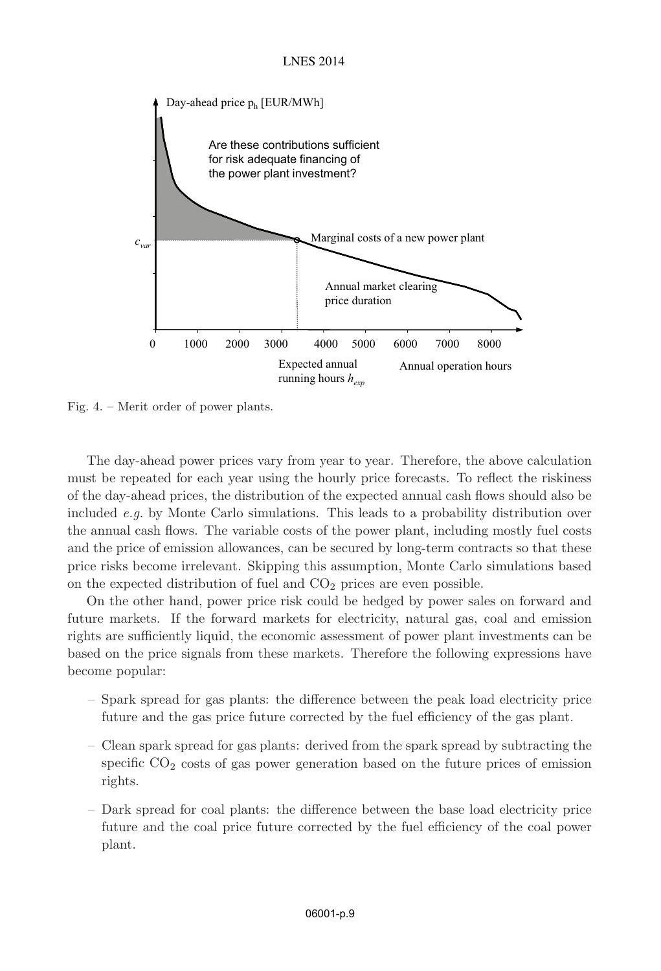

Fig. 4. – Merit order of power plants.

The day-ahead power prices vary from year to year. Therefore, the above calculation must be repeated for each year using the hourly price forecasts. To reflect the riskiness of the day-ahead prices, the distribution of the expected annual cash flows should also be included e.g. by Monte Carlo simulations. This leads to a probability distribution over the annual cash flows. The variable costs of the power plant, including mostly fuel costs and the price of emission allowances, can be secured by long-term contracts so that these price risks become irrelevant. Skipping this assumption, Monte Carlo simulations based on the expected distribution of fuel and  $CO<sub>2</sub>$  prices are even possible.

On the other hand, power price risk could be hedged by power sales on forward and future markets. If the forward markets for electricity, natural gas, coal and emission rights are sufficiently liquid, the economic assessment of power plant investments can be based on the price signals from these markets. Therefore the following expressions have become popular:

- Spark spread for gas plants: the difference between the peak load electricity price future and the gas price future corrected by the fuel efficiency of the gas plant.
- Clean spark spread for gas plants: derived from the spark spread by subtracting the specific  $CO<sub>2</sub>$  costs of gas power generation based on the future prices of emission rights.
- Dark spread for coal plants: the difference between the base load electricity price future and the coal price future corrected by the fuel efficiency of the coal power plant.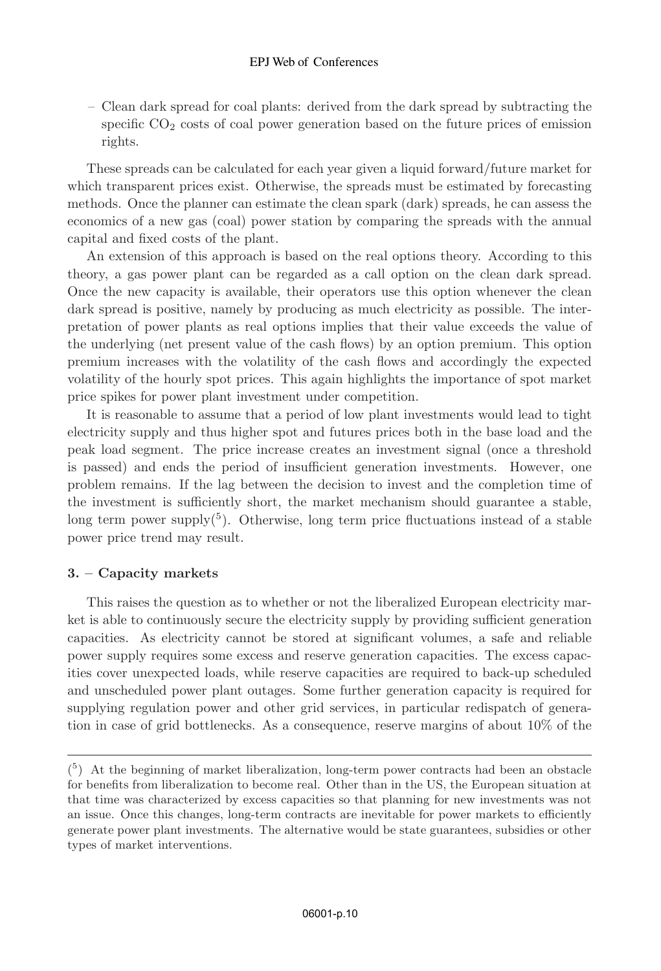## EPJ Web of Conferences

– Clean dark spread for coal plants: derived from the dark spread by subtracting the specific  $CO<sub>2</sub> \cos ts$  of coal power generation based on the future prices of emission rights.

These spreads can be calculated for each year given a liquid forward/future market for which transparent prices exist. Otherwise, the spreads must be estimated by forecasting methods. Once the planner can estimate the clean spark (dark) spreads, he can assess the economics of a new gas (coal) power station by comparing the spreads with the annual capital and fixed costs of the plant.

An extension of this approach is based on the real options theory. According to this theory, a gas power plant can be regarded as a call option on the clean dark spread. Once the new capacity is available, their operators use this option whenever the clean dark spread is positive, namely by producing as much electricity as possible. The interpretation of power plants as real options implies that their value exceeds the value of the underlying (net present value of the cash flows) by an option premium. This option premium increases with the volatility of the cash flows and accordingly the expected volatility of the hourly spot prices. This again highlights the importance of spot market price spikes for power plant investment under competition.

It is reasonable to assume that a period of low plant investments would lead to tight electricity supply and thus higher spot and futures prices both in the base load and the peak load segment. The price increase creates an investment signal (once a threshold is passed) and ends the period of insufficient generation investments. However, one problem remains. If the lag between the decision to invest and the completion time of the investment is sufficiently short, the market mechanism should guarantee a stable, long term power supply<sup>(5)</sup>. Otherwise, long term price fluctuations instead of a stable power price trend may result.

# **3. – Capacity markets**

This raises the question as to whether or not the liberalized European electricity market is able to continuously secure the electricity supply by providing sufficient generation capacities. As electricity cannot be stored at significant volumes, a safe and reliable power supply requires some excess and reserve generation capacities. The excess capacities cover unexpected loads, while reserve capacities are required to back-up scheduled and unscheduled power plant outages. Some further generation capacity is required for supplying regulation power and other grid services, in particular redispatch of generation in case of grid bottlenecks. As a consequence, reserve margins of about 10% of the

 $\binom{5}{1}$  At the beginning of market liberalization, long-term power contracts had been an obstacle for benefits from liberalization to become real. Other than in the US, the European situation at that time was characterized by excess capacities so that planning for new investments was not an issue. Once this changes, long-term contracts are inevitable for power markets to efficiently generate power plant investments. The alternative would be state guarantees, subsidies or other types of market interventions.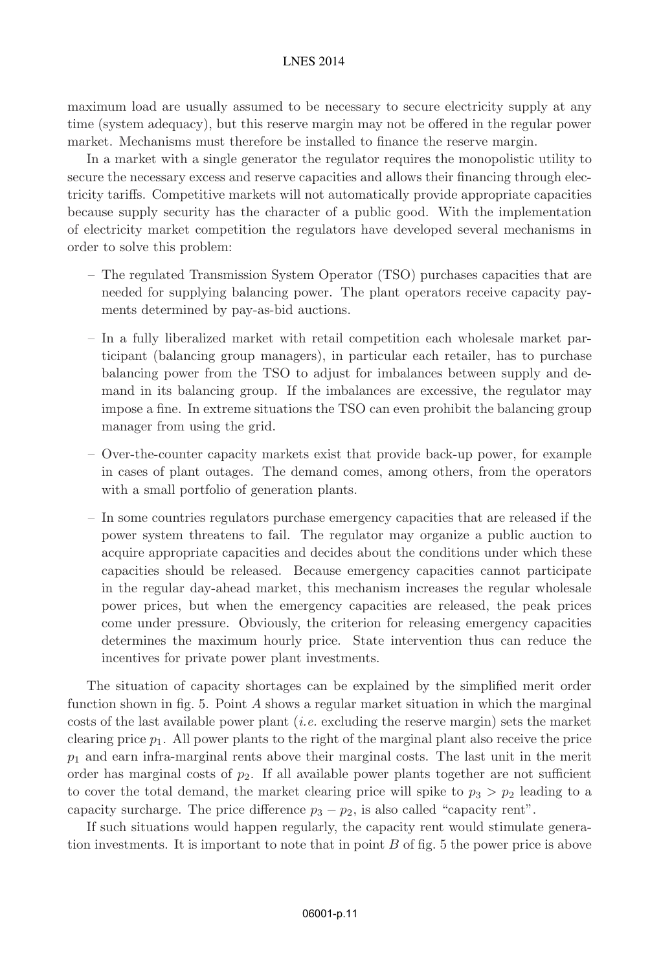maximum load are usually assumed to be necessary to secure electricity supply at any time (system adequacy), but this reserve margin may not be offered in the regular power market. Mechanisms must therefore be installed to finance the reserve margin.

In a market with a single generator the regulator requires the monopolistic utility to secure the necessary excess and reserve capacities and allows their financing through electricity tariffs. Competitive markets will not automatically provide appropriate capacities because supply security has the character of a public good. With the implementation of electricity market competition the regulators have developed several mechanisms in order to solve this problem:

- The regulated Transmission System Operator (TSO) purchases capacities that are needed for supplying balancing power. The plant operators receive capacity payments determined by pay-as-bid auctions.
- In a fully liberalized market with retail competition each wholesale market participant (balancing group managers), in particular each retailer, has to purchase balancing power from the TSO to adjust for imbalances between supply and demand in its balancing group. If the imbalances are excessive, the regulator may impose a fine. In extreme situations the TSO can even prohibit the balancing group manager from using the grid.
- Over-the-counter capacity markets exist that provide back-up power, for example in cases of plant outages. The demand comes, among others, from the operators with a small portfolio of generation plants.
- In some countries regulators purchase emergency capacities that are released if the power system threatens to fail. The regulator may organize a public auction to acquire appropriate capacities and decides about the conditions under which these capacities should be released. Because emergency capacities cannot participate in the regular day-ahead market, this mechanism increases the regular wholesale power prices, but when the emergency capacities are released, the peak prices come under pressure. Obviously, the criterion for releasing emergency capacities determines the maximum hourly price. State intervention thus can reduce the incentives for private power plant investments.

The situation of capacity shortages can be explained by the simplified merit order function shown in fig. 5. Point A shows a regular market situation in which the marginal costs of the last available power plant  $(i.e.$  excluding the reserve margin) sets the market clearing price  $p_1$ . All power plants to the right of the marginal plant also receive the price  $p_1$  and earn infra-marginal rents above their marginal costs. The last unit in the merit order has marginal costs of  $p_2$ . If all available power plants together are not sufficient to cover the total demand, the market clearing price will spike to  $p_3 > p_2$  leading to a capacity surcharge. The price difference  $p_3 - p_2$ , is also called "capacity rent".

If such situations would happen regularly, the capacity rent would stimulate generation investments. It is important to note that in point B of fig. 5 the power price is above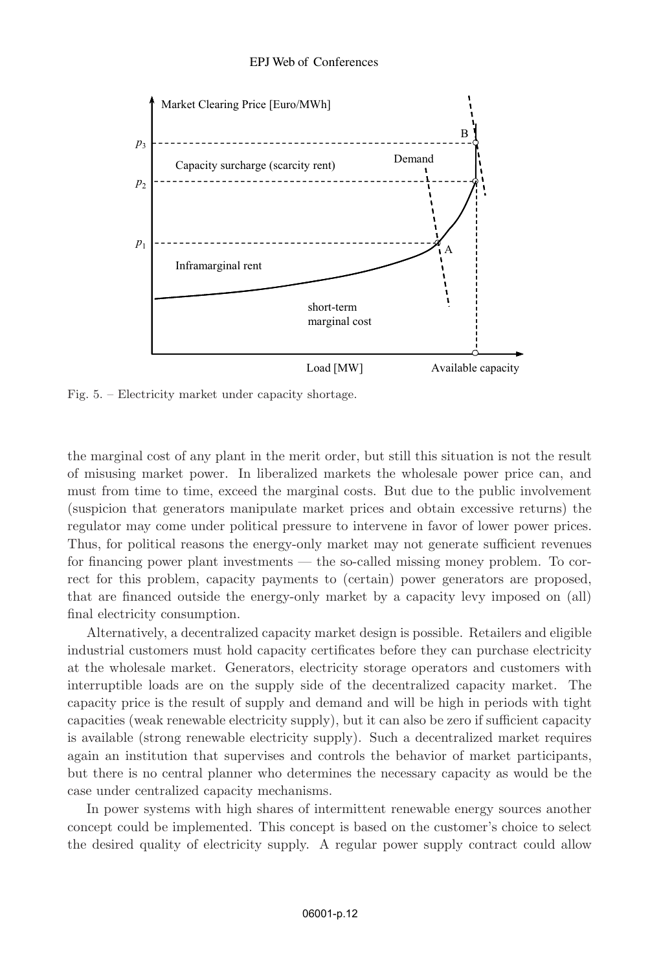

Fig. 5. – Electricity market under capacity shortage.

the marginal cost of any plant in the merit order, but still this situation is not the result of misusing market power. In liberalized markets the wholesale power price can, and must from time to time, exceed the marginal costs. But due to the public involvement (suspicion that generators manipulate market prices and obtain excessive returns) the regulator may come under political pressure to intervene in favor of lower power prices. Thus, for political reasons the energy-only market may not generate sufficient revenues for financing power plant investments — the so-called missing money problem. To correct for this problem, capacity payments to (certain) power generators are proposed, that are financed outside the energy-only market by a capacity levy imposed on (all) final electricity consumption.

Alternatively, a decentralized capacity market design is possible. Retailers and eligible industrial customers must hold capacity certificates before they can purchase electricity at the wholesale market. Generators, electricity storage operators and customers with interruptible loads are on the supply side of the decentralized capacity market. The capacity price is the result of supply and demand and will be high in periods with tight capacities (weak renewable electricity supply), but it can also be zero if sufficient capacity is available (strong renewable electricity supply). Such a decentralized market requires again an institution that supervises and controls the behavior of market participants, but there is no central planner who determines the necessary capacity as would be the case under centralized capacity mechanisms.

In power systems with high shares of intermittent renewable energy sources another concept could be implemented. This concept is based on the customer's choice to select the desired quality of electricity supply. A regular power supply contract could allow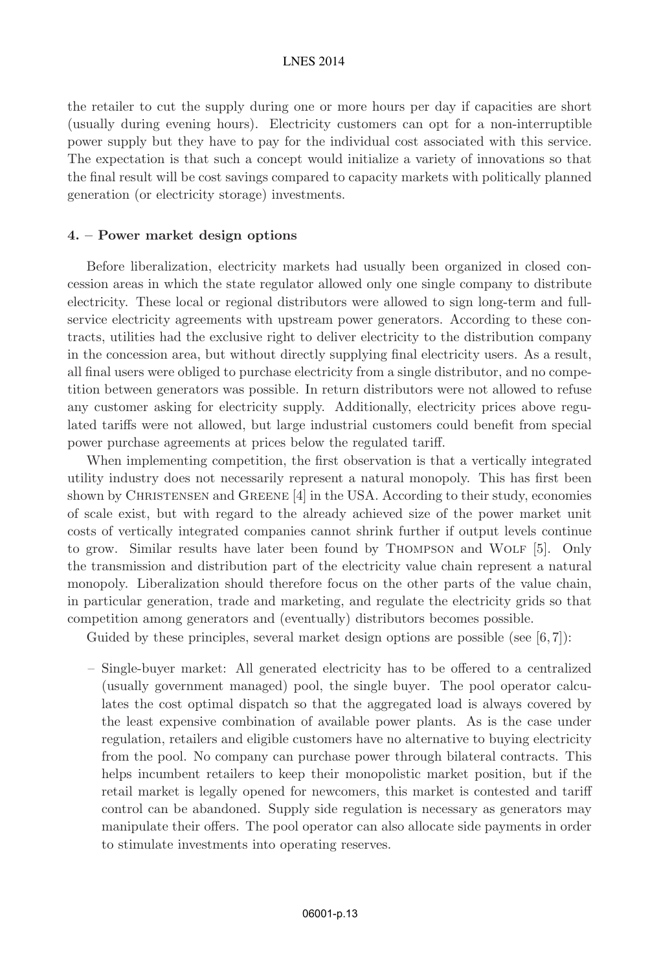the retailer to cut the supply during one or more hours per day if capacities are short (usually during evening hours). Electricity customers can opt for a non-interruptible power supply but they have to pay for the individual cost associated with this service. The expectation is that such a concept would initialize a variety of innovations so that the final result will be cost savings compared to capacity markets with politically planned generation (or electricity storage) investments.

#### **4. – Power market design options**

Before liberalization, electricity markets had usually been organized in closed concession areas in which the state regulator allowed only one single company to distribute electricity. These local or regional distributors were allowed to sign long-term and fullservice electricity agreements with upstream power generators. According to these contracts, utilities had the exclusive right to deliver electricity to the distribution company in the concession area, but without directly supplying final electricity users. As a result, all final users were obliged to purchase electricity from a single distributor, and no competition between generators was possible. In return distributors were not allowed to refuse any customer asking for electricity supply. Additionally, electricity prices above regulated tariffs were not allowed, but large industrial customers could benefit from special power purchase agreements at prices below the regulated tariff.

When implementing competition, the first observation is that a vertically integrated utility industry does not necessarily represent a natural monopoly. This has first been shown by CHRISTENSEN and GREENE  $[4]$  in the USA. According to their study, economies of scale exist, but with regard to the already achieved size of the power market unit costs of vertically integrated companies cannot shrink further if output levels continue to grow. Similar results have later been found by THOMPSON and WOLF [5]. Only the transmission and distribution part of the electricity value chain represent a natural monopoly. Liberalization should therefore focus on the other parts of the value chain, in particular generation, trade and marketing, and regulate the electricity grids so that competition among generators and (eventually) distributors becomes possible.

Guided by these principles, several market design options are possible (see  $[6, 7]$ ):

– Single-buyer market: All generated electricity has to be offered to a centralized (usually government managed) pool, the single buyer. The pool operator calculates the cost optimal dispatch so that the aggregated load is always covered by the least expensive combination of available power plants. As is the case under regulation, retailers and eligible customers have no alternative to buying electricity from the pool. No company can purchase power through bilateral contracts. This helps incumbent retailers to keep their monopolistic market position, but if the retail market is legally opened for newcomers, this market is contested and tariff control can be abandoned. Supply side regulation is necessary as generators may manipulate their offers. The pool operator can also allocate side payments in order to stimulate investments into operating reserves.